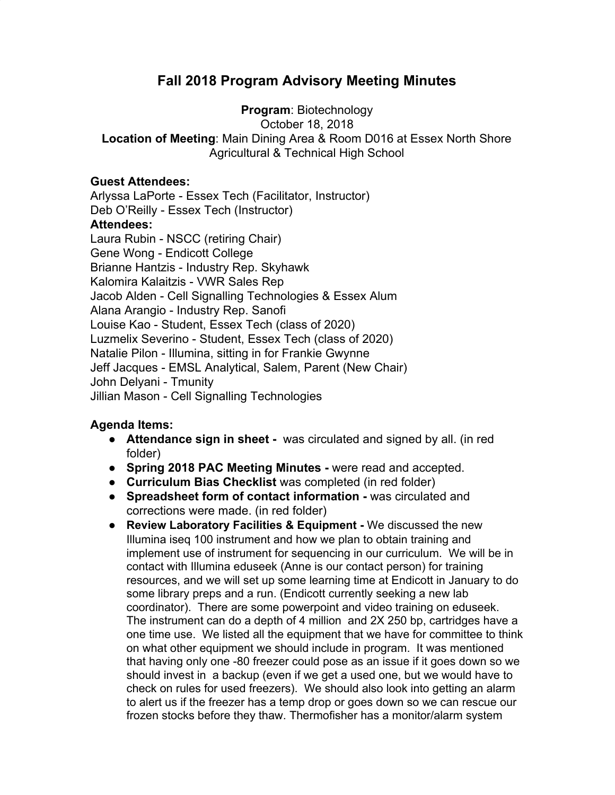## **Fall 2018 Program Advisory Meeting Minutes**

**Program**: Biotechnology

October 18, 2018

**Location of Meeting**: Main Dining Area & Room D016 at Essex North Shore Agricultural & Technical High School

## **Guest Attendees:**

Arlyssa LaPorte - Essex Tech (Facilitator, Instructor) Deb O'Reilly - Essex Tech (Instructor) **Attendees:** Laura Rubin - NSCC (retiring Chair) Gene Wong - Endicott College Brianne Hantzis - Industry Rep. Skyhawk Kalomira Kalaitzis - VWR Sales Rep Jacob Alden - Cell Signalling Technologies & Essex Alum Alana Arangio - Industry Rep. Sanofi Louise Kao - Student, Essex Tech (class of 2020) Luzmelix Severino - Student, Essex Tech (class of 2020) Natalie Pilon - Illumina, sitting in for Frankie Gwynne Jeff Jacques - EMSL Analytical, Salem, Parent (New Chair) John Delyani - Tmunity Jillian Mason - Cell Signalling Technologies

## **Agenda Items:**

- **● Attendance sign in sheet** was circulated and signed by all. (in red folder)
- **Spring 2018 PAC Meeting Minutes -** were read and accepted.
- **● Curriculum Bias Checklist** was completed (in red folder)
- **Spreadsheet form of contact information -** was circulated and corrections were made. (in red folder)
- **● Review Laboratory Facilities & Equipment -** We discussed the new Illumina iseq 100 instrument and how we plan to obtain training and implement use of instrument for sequencing in our curriculum. We will be in contact with Illumina eduseek (Anne is our contact person) for training resources, and we will set up some learning time at Endicott in January to do some library preps and a run. (Endicott currently seeking a new lab coordinator). There are some powerpoint and video training on eduseek. The instrument can do a depth of 4 million and 2X 250 bp, cartridges have a one time use. We listed all the equipment that we have for committee to think on what other equipment we should include in program. It was mentioned that having only one -80 freezer could pose as an issue if it goes down so we should invest in a backup (even if we get a used one, but we would have to check on rules for used freezers). We should also look into getting an alarm to alert us if the freezer has a temp drop or goes down so we can rescue our frozen stocks before they thaw. Thermofisher has a monitor/alarm system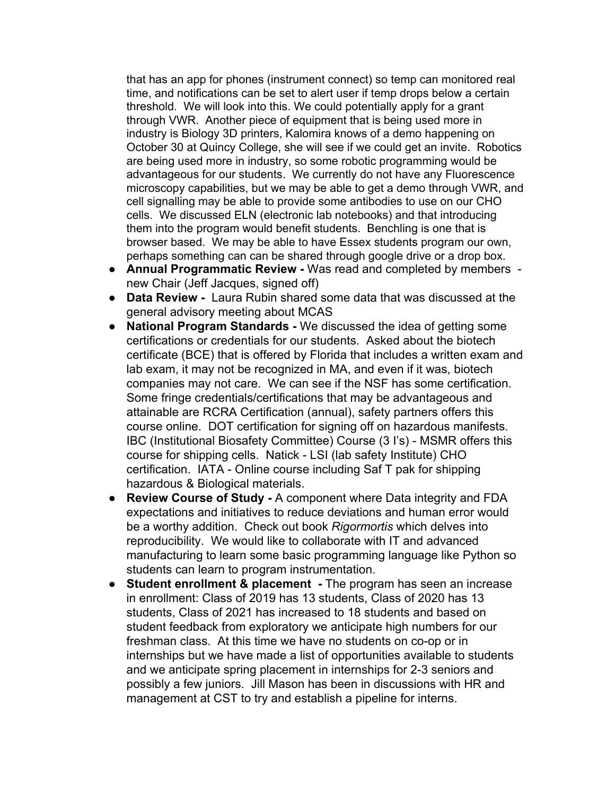that has an app for phones (instrument connect) so temp can monitored real time, and notifications can be set to alert user if temp drops below a certain threshold. We will look into this. We could potentially apply for a grant through VWR. Another piece of equipment that is being used more in industry is Biology 3D printers, Kalomira knows of a demo happening on October 30 at Quincy College, she will see if we could get an invite. Robotics are being used more in industry, so some robotic programming would be advantageous for our students. We currently do not have any Fluorescence microscopy capabilities, but we may be able to get a demo through VWR, and cell signalling may be able to provide some antibodies to use on our CHO cells. We discussed ELN (electronic lab notebooks) and that introducing them into the program would benefit students. Benchling is one that is browser based. We may be able to have Essex students program our own, perhaps something can can be shared through google drive or a drop box.

- **● Annual Programmatic Review** Was read and completed by members new Chair (Jeff Jacques, signed off)
- **● Data Review** Laura Rubin shared some data that was discussed at the general advisory meeting about MCAS
- **● National Program Standards** We discussed the idea of getting some certifications or credentials for our students. Asked about the biotech certificate (BCE) that is offered by Florida that includes a written exam and lab exam, it may not be recognized in MA, and even if it was, biotech companies may not care. We can see if the NSF has some certification. Some fringe credentials/certifications that may be advantageous and attainable are RCRA Certification (annual), safety partners offers this course online. DOT certification for signing off on hazardous manifests. IBC (Institutional Biosafety Committee) Course (3 I's) - MSMR offers this course for shipping cells. Natick - LSI (lab safety Institute) CHO certification. IATA - Online course including Saf T pak for shipping hazardous & Biological materials.
- **● Review Course of Study** A component where Data integrity and FDA expectations and initiatives to reduce deviations and human error would be a worthy addition. Check out book *Rigormortis* which delves into reproducibility. We would like to collaborate with IT and advanced manufacturing to learn some basic programming language like Python so students can learn to program instrumentation.
- **● Student enrollment & placement** The program has seen an increase in enrollment: Class of 2019 has 13 students, Class of 2020 has 13 students, Class of 2021 has increased to 18 students and based on student feedback from exploratory we anticipate high numbers for our freshman class. At this time we have no students on co-op or in internships but we have made a list of opportunities available to students and we anticipate spring placement in internships for 2-3 seniors and possibly a few juniors. Jill Mason has been in discussions with HR and management at CST to try and establish a pipeline for interns.